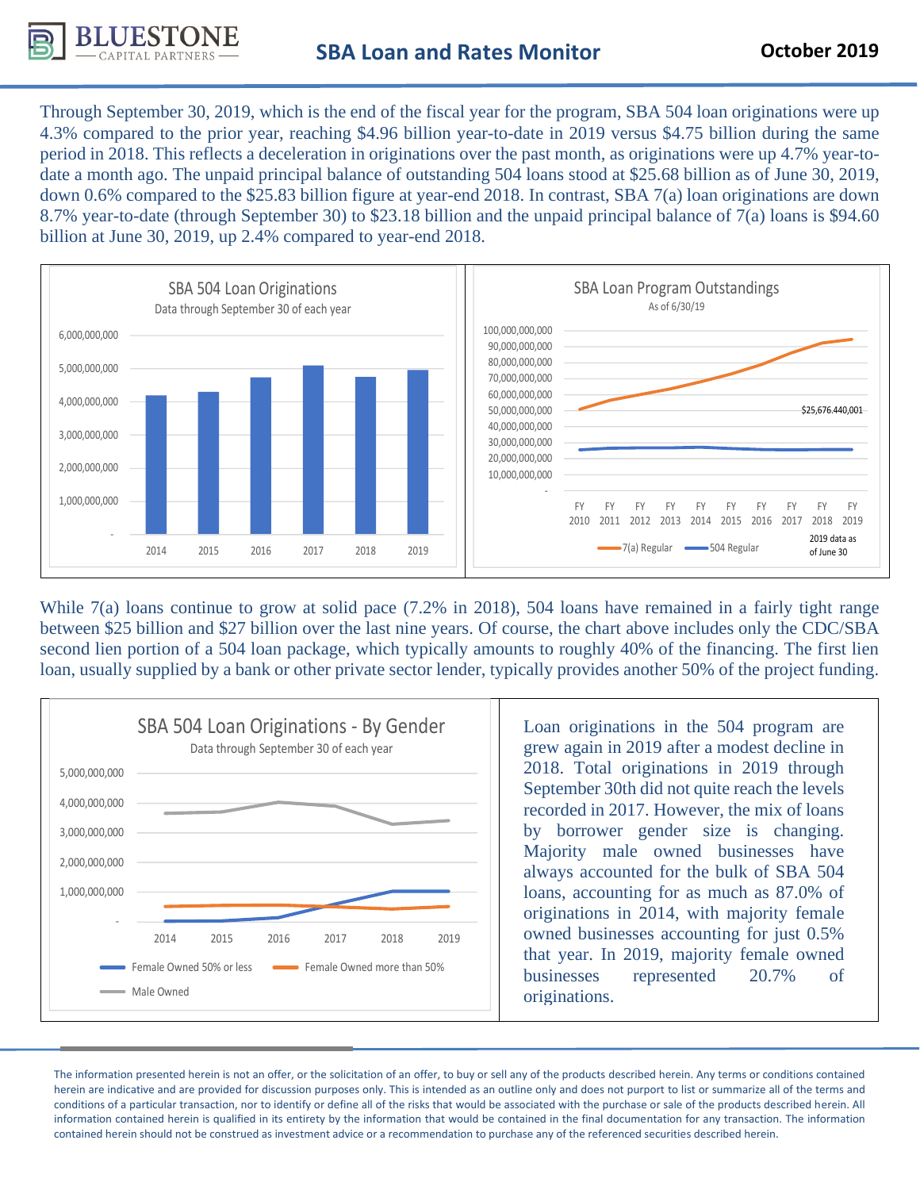

Through September 30, 2019, which is the end of the fiscal year for the program, SBA 504 loan originations were up 4.3% compared to the prior year, reaching \$4.96 billion year-to-date in 2019 versus \$4.75 billion during the same period in 2018. This reflects a deceleration in originations over the past month, as originations were up 4.7% year-todate a month ago. The unpaid principal balance of outstanding 504 loans stood at \$25.68 billion as of June 30, 2019, down 0.6% compared to the \$25.83 billion figure at year-end 2018. In contrast, SBA 7(a) loan originations are down 8.7% year-to-date (through September 30) to \$23.18 billion and the unpaid principal balance of 7(a) loans is \$94.60 billion at June 30, 2019, up 2.4% compared to year-end 2018.



While 7(a) loans continue to grow at solid pace (7.2% in 2018), 504 loans have remained in a fairly tight range between \$25 billion and \$27 billion over the last nine years. Of course, the chart above includes only the CDC/SBA second lien portion of a 504 loan package, which typically amounts to roughly 40% of the financing. The first lien loan, usually supplied by a bank or other private sector lender, typically provides another 50% of the project funding.



Loan originations in the 504 program are grew again in 2019 after a modest decline in 2018. Total originations in 2019 through September 30th did not quite reach the levels recorded in 2017. However, the mix of loans by borrower gender size is changing. Majority male owned businesses have always accounted for the bulk of SBA 504 loans, accounting for as much as 87.0% of originations in 2014, with majority female owned businesses accounting for just 0.5% that year. In 2019, majority female owned businesses represented 20.7% of originations.

The information presented herein is not an offer, or the solicitation of an offer, to buy or sell any of the products described herein. Any terms or conditions contained herein are indicative and are provided for discussion purposes only. This is intended as an outline only and does not purport to list or summarize all of the terms and conditions of a particular transaction, nor to identify or define all of the risks that would be associated with the purchase or sale of the products described herein. All information contained herein is qualified in its entirety by the information that would be contained in the final documentation for any transaction. The information contained herein should not be construed as investment advice or a recommendation to purchase any of the referenced securities described herein.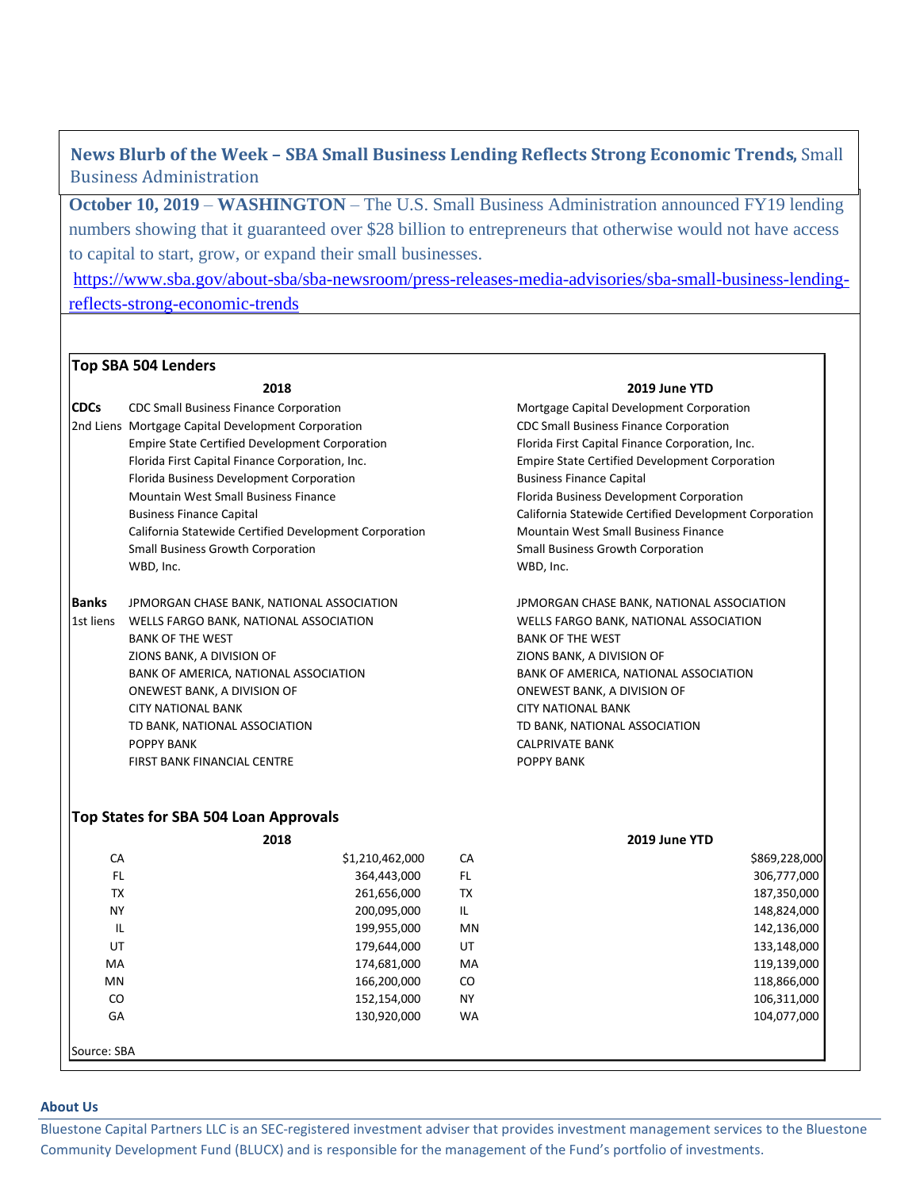**News Blurb of the Week – SBA Small Business Lending Reflects Strong Economic Trends,** Small Business Administration

**October 10, 2019** – **WASHINGTON** – [The U.S. Small Business Administration](http://www.sba.gov/) announced FY19 lending numbers showing that it guaranteed over \$28 billion to entrepreneurs that otherwise would not have access to capital to start, grow, or expand their small businesses.

[https://www.sba.gov/about-sba/sba-newsroom/press-releases-media-advisories/sba-small-business-lending](https://www.sba.gov/about-sba/sba-newsroom/press-releases-media-advisories/sba-small-business-lending-reflects-strong-economic-trends)[reflects-strong-economic-trends](https://www.sba.gov/about-sba/sba-newsroom/press-releases-media-advisories/sba-small-business-lending-reflects-strong-economic-trends)

## **Top SBA 504 Lenders**

## **2018 2019 June YTD**

| <b>CDCs</b>  | CDC Small Business Finance Corporation                                                                   |                                                                                                                                                           | Mortgage Capital Development Corporation                                                              |                                                                                                   |  |  |
|--------------|----------------------------------------------------------------------------------------------------------|-----------------------------------------------------------------------------------------------------------------------------------------------------------|-------------------------------------------------------------------------------------------------------|---------------------------------------------------------------------------------------------------|--|--|
|              | 2nd Liens Mortgage Capital Development Corporation                                                       | <b>CDC Small Business Finance Corporation</b><br>Florida First Capital Finance Corporation, Inc.<br><b>Empire State Certified Development Corporation</b> |                                                                                                       |                                                                                                   |  |  |
|              | <b>Empire State Certified Development Corporation</b><br>Florida First Capital Finance Corporation, Inc. |                                                                                                                                                           |                                                                                                       |                                                                                                   |  |  |
|              |                                                                                                          |                                                                                                                                                           |                                                                                                       |                                                                                                   |  |  |
|              | Florida Business Development Corporation                                                                 | <b>Business Finance Capital</b><br>Florida Business Development Corporation                                                                               |                                                                                                       |                                                                                                   |  |  |
|              | Mountain West Small Business Finance                                                                     |                                                                                                                                                           |                                                                                                       |                                                                                                   |  |  |
|              | <b>Business Finance Capital</b>                                                                          |                                                                                                                                                           | California Statewide Certified Development Corporation<br><b>Mountain West Small Business Finance</b> |                                                                                                   |  |  |
|              | California Statewide Certified Development Corporation                                                   |                                                                                                                                                           |                                                                                                       |                                                                                                   |  |  |
|              | <b>Small Business Growth Corporation</b>                                                                 | <b>Small Business Growth Corporation</b>                                                                                                                  |                                                                                                       |                                                                                                   |  |  |
|              | WBD, Inc.                                                                                                |                                                                                                                                                           |                                                                                                       | WBD, Inc.                                                                                         |  |  |
| <b>Banks</b> | JPMORGAN CHASE BANK, NATIONAL ASSOCIATION                                                                |                                                                                                                                                           |                                                                                                       | JPMORGAN CHASE BANK, NATIONAL ASSOCIATION                                                         |  |  |
| 1st liens    | WELLS FARGO BANK, NATIONAL ASSOCIATION                                                                   |                                                                                                                                                           |                                                                                                       | WELLS FARGO BANK, NATIONAL ASSOCIATION                                                            |  |  |
|              | <b>BANK OF THE WEST</b>                                                                                  |                                                                                                                                                           | <b>BANK OF THE WEST</b>                                                                               |                                                                                                   |  |  |
|              | ZIONS BANK, A DIVISION OF<br>BANK OF AMERICA, NATIONAL ASSOCIATION<br>ONEWEST BANK, A DIVISION OF        |                                                                                                                                                           |                                                                                                       | ZIONS BANK, A DIVISION OF<br>BANK OF AMERICA, NATIONAL ASSOCIATION<br>ONEWEST BANK, A DIVISION OF |  |  |
|              |                                                                                                          |                                                                                                                                                           |                                                                                                       |                                                                                                   |  |  |
|              |                                                                                                          |                                                                                                                                                           |                                                                                                       |                                                                                                   |  |  |
|              | <b>CITY NATIONAL BANK</b>                                                                                |                                                                                                                                                           | <b>CITY NATIONAL BANK</b><br>TD BANK, NATIONAL ASSOCIATION                                            |                                                                                                   |  |  |
|              | TD BANK, NATIONAL ASSOCIATION                                                                            |                                                                                                                                                           |                                                                                                       |                                                                                                   |  |  |
|              | POPPY BANK                                                                                               | <b>CALPRIVATE BANK</b>                                                                                                                                    |                                                                                                       |                                                                                                   |  |  |
|              | FIRST BANK FINANCIAL CENTRE                                                                              |                                                                                                                                                           |                                                                                                       | POPPY BANK                                                                                        |  |  |
|              | Top States for SBA 504 Loan Approvals                                                                    |                                                                                                                                                           |                                                                                                       |                                                                                                   |  |  |
| 2018         |                                                                                                          |                                                                                                                                                           |                                                                                                       | 2019 June YTD                                                                                     |  |  |
| CA           |                                                                                                          | \$1,210,462,000                                                                                                                                           | CA                                                                                                    | \$869,228,000                                                                                     |  |  |
| FL.          |                                                                                                          | 364,443,000                                                                                                                                               | FL.                                                                                                   | 306,777,000                                                                                       |  |  |
| <b>TX</b>    |                                                                                                          | 261,656,000                                                                                                                                               | <b>TX</b>                                                                                             | 187,350,000                                                                                       |  |  |
| <b>NY</b>    |                                                                                                          | 200,095,000                                                                                                                                               | IL.                                                                                                   | 148,824,000                                                                                       |  |  |
| IL           |                                                                                                          | 199,955,000                                                                                                                                               | MN                                                                                                    | 142,136,000                                                                                       |  |  |
| UT           |                                                                                                          | 179,644,000                                                                                                                                               | UT                                                                                                    | 133,148,000                                                                                       |  |  |
| MA           |                                                                                                          | 174,681,000                                                                                                                                               | MA                                                                                                    | 119,139,000                                                                                       |  |  |
| MN           |                                                                                                          | 166,200,000                                                                                                                                               | CO                                                                                                    | 118,866,000                                                                                       |  |  |
| CO           |                                                                                                          | 152,154,000                                                                                                                                               | <b>NY</b>                                                                                             | 106,311,000                                                                                       |  |  |
| GA           |                                                                                                          | 130,920,000                                                                                                                                               | <b>WA</b>                                                                                             | 104,077,000                                                                                       |  |  |
| Source: SBA  |                                                                                                          |                                                                                                                                                           |                                                                                                       |                                                                                                   |  |  |

## **About Us**

Bluestone Capital Partners LLC is an SEC-registered investment adviser that provides investment management services to the Bluestone Community Development Fund (BLUCX) and is responsible for the management of the Fund's portfolio of investments.